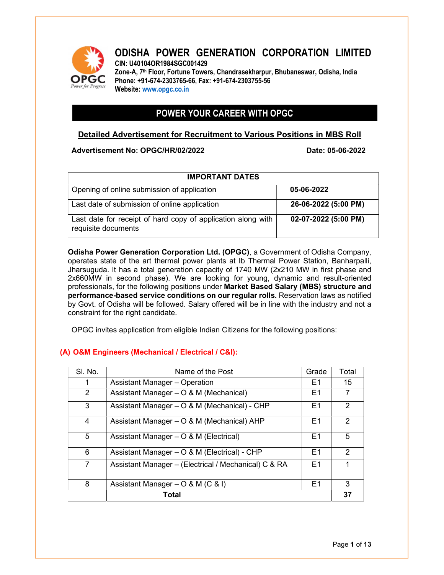

## ODISHA POWER GENERATION CORPORATION LIMITED CIN: U40104OR1984SGC001429 Zone-A, 7<sup>th</sup> Floor, Fortune Towers, Chandrasekharpur, Bhubaneswar, Odisha, India

Phone: +91-674-2303765-66, Fax: +91-674-2303755-56 Website: www.opgc.co.in

# POWER YOUR CAREER WITH OPGC

## Detailed Advertisement for Recruitment to Various Positions in MBS Roll

## Advertisement No: OPGC/HR/02/2022 Date: 05-06-2022

| <b>IMPORTANT DATES</b>                                                              |                      |
|-------------------------------------------------------------------------------------|----------------------|
| Opening of online submission of application                                         | 05-06-2022           |
| Last date of submission of online application                                       | 26-06-2022 (5:00 PM) |
| Last date for receipt of hard copy of application along with<br>requisite documents | 02-07-2022 (5:00 PM) |

Odisha Power Generation Corporation Ltd. (OPGC), a Government of Odisha Company, operates state of the art thermal power plants at Ib Thermal Power Station, Banharpalli, Jharsuguda. It has a total generation capacity of 1740 MW (2x210 MW in first phase and 2x660MW in second phase). We are looking for young, dynamic and result-oriented professionals, for the following positions under Market Based Salary (MBS) structure and performance-based service conditions on our regular rolls. Reservation laws as notified by Govt. of Odisha will be followed. Salary offered will be in line with the industry and not a constraint for the right candidate.

OPGC invites application from eligible Indian Citizens for the following positions:

## (A) O&M Engineers (Mechanical / Electrical / C&I):

| SI. No.       | Name of the Post                                     | Grade          | Total          |
|---------------|------------------------------------------------------|----------------|----------------|
|               | Assistant Manager - Operation                        | E1             | 15             |
| $\mathcal{P}$ | Assistant Manager – O & M (Mechanical)               | E1             |                |
| 3             | Assistant Manager - O & M (Mechanical) - CHP         | E <sub>1</sub> | 2              |
| 4             | Assistant Manager - O & M (Mechanical) AHP           | E <sub>1</sub> | 2              |
| 5             | Assistant Manager – O & M (Electrical)               | E <sub>1</sub> | 5              |
| 6             | Assistant Manager - O & M (Electrical) - CHP         | E1             | $\overline{2}$ |
| $\mathbf{7}$  | Assistant Manager - (Electrical / Mechanical) C & RA | E <sub>1</sub> |                |
| 8             | Assistant Manager – $O & M (C & I)$                  | E1             | 3              |
|               | Total                                                |                | 37             |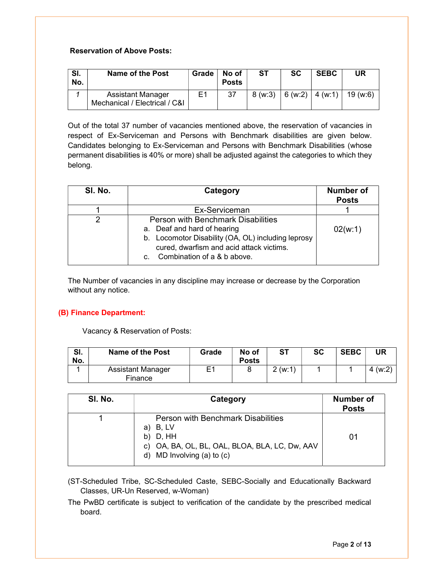## Reservation of Above Posts:

| SI.<br>No. | Name of the Post                                          | Grade          | No of<br><b>Posts</b> | ST. | <b>SC</b> | <b>SEBC</b> | UR                                       |
|------------|-----------------------------------------------------------|----------------|-----------------------|-----|-----------|-------------|------------------------------------------|
|            | <b>Assistant Manager</b><br>Mechanical / Electrical / C&I | E <sub>1</sub> | 37                    |     |           |             | $8 (w:3)   6 (w:2)   4 (w:1)   19 (w:6)$ |

Out of the total 37 number of vacancies mentioned above, the reservation of vacancies in respect of Ex-Serviceman and Persons with Benchmark disabilities are given below. Candidates belonging to Ex-Serviceman and Persons with Benchmark Disabilities (whose permanent disabilities is 40% or more) shall be adjusted against the categories to which they belong.

| SI. No. | Category                                                                                                                                                                                              | <b>Number of</b><br><b>Posts</b> |
|---------|-------------------------------------------------------------------------------------------------------------------------------------------------------------------------------------------------------|----------------------------------|
|         | Ex-Serviceman                                                                                                                                                                                         |                                  |
| 2       | Person with Benchmark Disabilities<br>a. Deaf and hard of hearing<br>b. Locomotor Disability (OA, OL) including leprosy<br>cured, dwarfism and acid attack victims.<br>c. Combination of a & b above. | 02(w:1)                          |

The Number of vacancies in any discipline may increase or decrease by the Corporation without any notice.

#### (B) Finance Department:

Vacancy & Reservation of Posts:

| SI.<br>No. | <b>Name of the Post</b>      | Grade | No of<br><b>Posts</b> | ST     | <b>SC</b> | <b>SEBC</b> | UR      |
|------------|------------------------------|-------|-----------------------|--------|-----------|-------------|---------|
|            | Assistant Manager<br>Finance | E1    |                       | 2(w:1) |           |             | 4 (w:2) |

| SI. No. | Category                                                                                                                                                 | <b>Number of</b><br><b>Posts</b> |
|---------|----------------------------------------------------------------------------------------------------------------------------------------------------------|----------------------------------|
|         | <b>Person with Benchmark Disabilities</b><br>B, LV<br>a)<br>b) $D, HH$<br>c) OA, BA, OL, BL, OAL, BLOA, BLA, LC, Dw, AAV<br>d) MD Involving (a) to $(c)$ | 01                               |

- (ST-Scheduled Tribe, SC-Scheduled Caste, SEBC-Socially and Educationally Backward Classes, UR-Un Reserved, w-Woman)
- The PwBD certificate is subject to verification of the candidate by the prescribed medical board.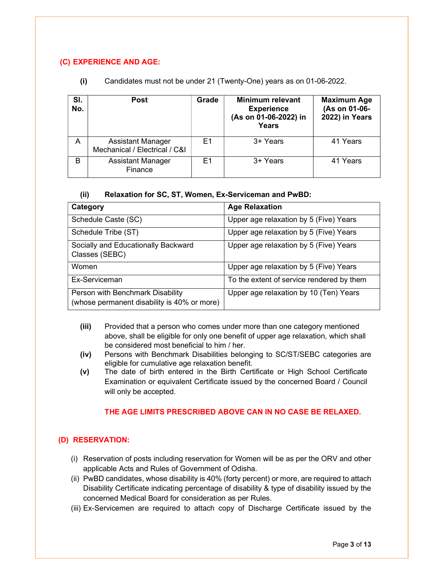## (C) EXPERIENCE AND AGE:

| SI.<br>No. | <b>Post</b>                                               | Grade | <b>Minimum relevant</b><br><b>Experience</b><br>(As on 01-06-2022) in<br><b>Years</b> | <b>Maximum Age</b><br>(As on 01-06-<br>2022) in Years |
|------------|-----------------------------------------------------------|-------|---------------------------------------------------------------------------------------|-------------------------------------------------------|
| A          | <b>Assistant Manager</b><br>Mechanical / Electrical / C&I | F1    | 3+ Years                                                                              | 41 Years                                              |
| В          | <b>Assistant Manager</b><br>Finance                       | F1    | 3+ Years                                                                              | 41 Years                                              |

(i) Candidates must not be under 21 (Twenty-One) years as on 01-06-2022.

#### (ii) Relaxation for SC, ST, Women, Ex-Serviceman and PwBD:

| Category                                                                        | <b>Age Relaxation</b>                     |
|---------------------------------------------------------------------------------|-------------------------------------------|
| Schedule Caste (SC)                                                             | Upper age relaxation by 5 (Five) Years    |
| Schedule Tribe (ST)                                                             | Upper age relaxation by 5 (Five) Years    |
| Socially and Educationally Backward<br>Classes (SEBC)                           | Upper age relaxation by 5 (Five) Years    |
| Women                                                                           | Upper age relaxation by 5 (Five) Years    |
| Ex-Serviceman                                                                   | To the extent of service rendered by them |
| Person with Benchmark Disability<br>(whose permanent disability is 40% or more) | Upper age relaxation by 10 (Ten) Years    |

- (iii) Provided that a person who comes under more than one category mentioned above, shall be eligible for only one benefit of upper age relaxation, which shall be considered most beneficial to him / her.
- (iv) Persons with Benchmark Disabilities belonging to SC/ST/SEBC categories are eligible for cumulative age relaxation benefit.
- (v) The date of birth entered in the Birth Certificate or High School Certificate Examination or equivalent Certificate issued by the concerned Board / Council will only be accepted.

## THE AGE LIMITS PRESCRIBED ABOVE CAN IN NO CASE BE RELAXED.

## (D) RESERVATION:

- (i) Reservation of posts including reservation for Women will be as per the ORV and other applicable Acts and Rules of Government of Odisha.
- (ii) PwBD candidates, whose disability is 40% (forty percent) or more, are required to attach Disability Certificate indicating percentage of disability & type of disability issued by the concerned Medical Board for consideration as per Rules.
- (iii) Ex-Servicemen are required to attach copy of Discharge Certificate issued by the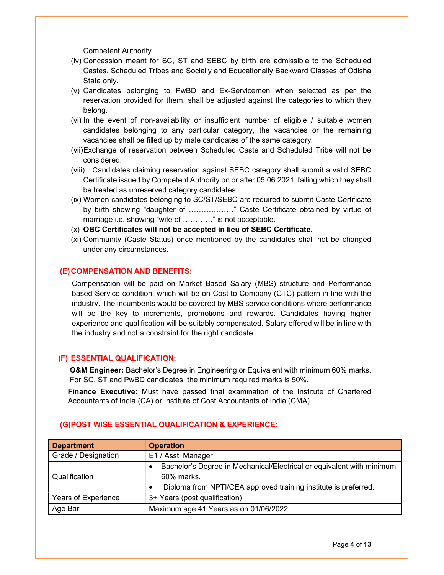Competent Authority.

- (iv) Concession meant for SC, ST and SEBC by birth are admissible to the Scheduled Castes, Scheduled Tribes and Socially and Educationally Backward Classes of Odisha State only.
- (v) Candidates belonging to PwBD and Ex-Servicemen when selected as per the reservation provided for them, shall be adjusted against the categories to which they belong.
- (vi) In the event of non-availability or insufficient number of eligible / suitable women candidates belonging to any particular category, the vacancies or the remaining vacancies shall be filled up by male candidates of the same category.
- (vii) Exchange of reservation between Scheduled Caste and Scheduled Tribe will not be considered.
- (viii) Candidates claiming reservation against SEBC category shall submit a valid SEBC Certificate issued by Competent Authority on or after 05.06.2021, failing which they shall be treated as unreserved category candidates.
- (ix) Women candidates belonging to SC/ST/SEBC are required to submit Caste Certificate by birth showing "daughter of ………………" Caste Certificate obtained by virtue of marriage i.e. showing "wife of …………" is not acceptable.
- (x) OBC Certificates will not be accepted in lieu of SEBC Certificate.
- (xi) Community (Caste Status) once mentioned by the candidates shall not be changed under any circumstances.

## (E) COMPENSATION AND BENEFITS:

Compensation will be paid on Market Based Salary (MBS) structure and Performance based Service condition, which will be on Cost to Company (CTC) pattern in line with the industry. The incumbents would be covered by MBS service conditions where performance will be the key to increments, promotions and rewards. Candidates having higher experience and qualification will be suitably compensated. Salary offered will be in line with the industry and not a constraint for the right candidate.

#### (F) ESSENTIAL QUALIFICATION:

O&M Engineer: Bachelor's Degree in Engineering or Equivalent with minimum 60% marks. For SC, ST and PwBD candidates, the minimum required marks is 50%.

Finance Executive: Must have passed final examination of the Institute of Chartered Accountants of India (CA) or Institute of Cost Accountants of India (CMA)

| <b>Department</b>   | <b>Operation</b>                                                                                                                                       |
|---------------------|--------------------------------------------------------------------------------------------------------------------------------------------------------|
| Grade / Designation | E1 / Asst. Manager                                                                                                                                     |
| Qualification       | Bachelor's Degree in Mechanical/Electrical or equivalent with minimum<br>60% marks.<br>Diploma from NPTI/CEA approved training institute is preferred. |
| Years of Experience | 3+ Years (post qualification)                                                                                                                          |
| Age Bar             | Maximum age 41 Years as on 01/06/2022                                                                                                                  |

#### (G) POST WISE ESSENTIAL QUALIFICATION & EXPERIENCE: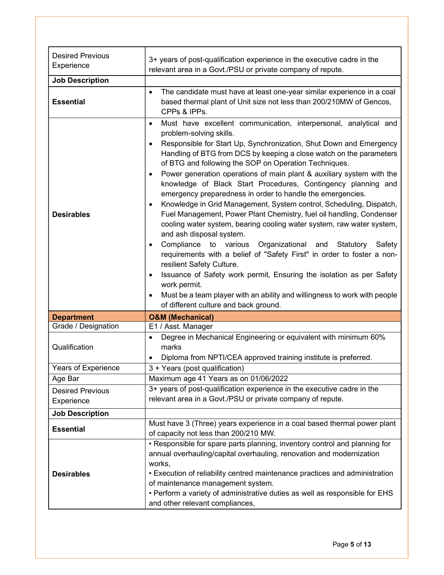| <b>Desired Previous</b><br>Experience | 3+ years of post-qualification experience in the executive cadre in the<br>relevant area in a Govt./PSU or private company of repute.                                                                                                                                                                                                                                                                                                                                                                                                                                                                                                                                                                                                                                                                                                                                                                                                                                                                                                                                                                                                                                                        |
|---------------------------------------|----------------------------------------------------------------------------------------------------------------------------------------------------------------------------------------------------------------------------------------------------------------------------------------------------------------------------------------------------------------------------------------------------------------------------------------------------------------------------------------------------------------------------------------------------------------------------------------------------------------------------------------------------------------------------------------------------------------------------------------------------------------------------------------------------------------------------------------------------------------------------------------------------------------------------------------------------------------------------------------------------------------------------------------------------------------------------------------------------------------------------------------------------------------------------------------------|
| <b>Job Description</b>                |                                                                                                                                                                                                                                                                                                                                                                                                                                                                                                                                                                                                                                                                                                                                                                                                                                                                                                                                                                                                                                                                                                                                                                                              |
| <b>Essential</b>                      | The candidate must have at least one-year similar experience in a coal<br>$\bullet$<br>based thermal plant of Unit size not less than 200/210MW of Gencos,<br>CPPs & IPPs.                                                                                                                                                                                                                                                                                                                                                                                                                                                                                                                                                                                                                                                                                                                                                                                                                                                                                                                                                                                                                   |
| <b>Desirables</b>                     | Must have excellent communication, interpersonal, analytical and<br>$\bullet$<br>problem-solving skills.<br>Responsible for Start Up, Synchronization, Shut Down and Emergency<br>Handling of BTG from DCS by keeping a close watch on the parameters<br>of BTG and following the SOP on Operation Techniques.<br>Power generation operations of main plant & auxiliary system with the<br>knowledge of Black Start Procedures, Contingency planning and<br>emergency preparedness in order to handle the emergencies.<br>Knowledge in Grid Management, System control, Scheduling, Dispatch,<br>Fuel Management, Power Plant Chemistry, fuel oil handling, Condenser<br>cooling water system, bearing cooling water system, raw water system,<br>and ash disposal system.<br>Compliance to various Organizational and<br>Statutory<br>Safety<br>$\bullet$<br>requirements with a belief of "Safety First" in order to foster a non-<br>resilient Safety Culture.<br>Issuance of Safety work permit, Ensuring the isolation as per Safety<br>$\bullet$<br>work permit.<br>Must be a team player with an ability and willingness to work with people<br>of different culture and back ground. |
| <b>Department</b>                     | <b>O&amp;M (Mechanical)</b>                                                                                                                                                                                                                                                                                                                                                                                                                                                                                                                                                                                                                                                                                                                                                                                                                                                                                                                                                                                                                                                                                                                                                                  |
| Grade / Designation                   | E1 / Asst. Manager                                                                                                                                                                                                                                                                                                                                                                                                                                                                                                                                                                                                                                                                                                                                                                                                                                                                                                                                                                                                                                                                                                                                                                           |
| Qualification                         | Degree in Mechanical Engineering or equivalent with minimum 60%<br>$\bullet$<br>marks<br>Diploma from NPTI/CEA approved training institute is preferred.<br>٠                                                                                                                                                                                                                                                                                                                                                                                                                                                                                                                                                                                                                                                                                                                                                                                                                                                                                                                                                                                                                                |
| Years of Experience                   | 3 + Years (post qualification)                                                                                                                                                                                                                                                                                                                                                                                                                                                                                                                                                                                                                                                                                                                                                                                                                                                                                                                                                                                                                                                                                                                                                               |
| Age Bar                               | Maximum age 41 Years as on 01/06/2022                                                                                                                                                                                                                                                                                                                                                                                                                                                                                                                                                                                                                                                                                                                                                                                                                                                                                                                                                                                                                                                                                                                                                        |
| <b>Desired Previous</b><br>Experience | 3+ years of post-qualification experience in the executive cadre in the<br>relevant area in a Govt./PSU or private company of repute.                                                                                                                                                                                                                                                                                                                                                                                                                                                                                                                                                                                                                                                                                                                                                                                                                                                                                                                                                                                                                                                        |
| <b>Job Description</b>                |                                                                                                                                                                                                                                                                                                                                                                                                                                                                                                                                                                                                                                                                                                                                                                                                                                                                                                                                                                                                                                                                                                                                                                                              |
| <b>Essential</b>                      | Must have 3 (Three) years experience in a coal based thermal power plant<br>of capacity not less than 200/210 MW.                                                                                                                                                                                                                                                                                                                                                                                                                                                                                                                                                                                                                                                                                                                                                                                                                                                                                                                                                                                                                                                                            |
| <b>Desirables</b>                     | • Responsible for spare parts planning, inventory control and planning for<br>annual overhauling/capital overhauling, renovation and modernization<br>works,<br>• Execution of reliability centred maintenance practices and administration<br>of maintenance management system.<br>. Perform a variety of administrative duties as well as responsible for EHS<br>and other relevant compliances,                                                                                                                                                                                                                                                                                                                                                                                                                                                                                                                                                                                                                                                                                                                                                                                           |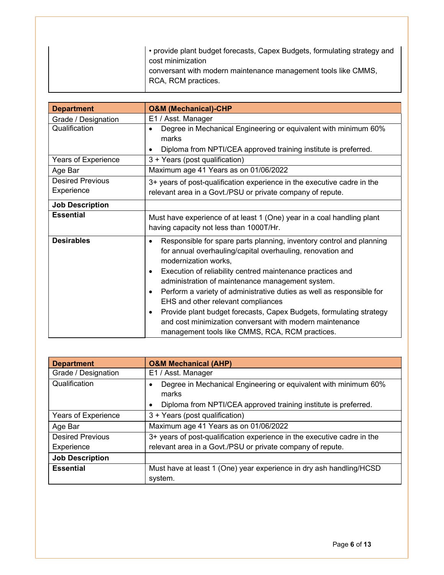|  | • provide plant budget forecasts, Capex Budgets, formulating strategy and<br>cost minimization |
|--|------------------------------------------------------------------------------------------------|
|  | conversant with modern maintenance management tools like CMMS,<br>RCA, RCM practices.          |

| <b>Department</b>          | <b>O&amp;M (Mechanical)-CHP</b>                                                                                                                                                                                                                                                                                                                                                                                                                                                                                                                                                   |
|----------------------------|-----------------------------------------------------------------------------------------------------------------------------------------------------------------------------------------------------------------------------------------------------------------------------------------------------------------------------------------------------------------------------------------------------------------------------------------------------------------------------------------------------------------------------------------------------------------------------------|
| Grade / Designation        | E1 / Asst. Manager                                                                                                                                                                                                                                                                                                                                                                                                                                                                                                                                                                |
| Qualification              | Degree in Mechanical Engineering or equivalent with minimum 60%<br>marks                                                                                                                                                                                                                                                                                                                                                                                                                                                                                                          |
|                            | Diploma from NPTI/CEA approved training institute is preferred.                                                                                                                                                                                                                                                                                                                                                                                                                                                                                                                   |
| <b>Years of Experience</b> | 3 + Years (post qualification)                                                                                                                                                                                                                                                                                                                                                                                                                                                                                                                                                    |
| Age Bar                    | Maximum age 41 Years as on 01/06/2022                                                                                                                                                                                                                                                                                                                                                                                                                                                                                                                                             |
| <b>Desired Previous</b>    | 3+ years of post-qualification experience in the executive cadre in the                                                                                                                                                                                                                                                                                                                                                                                                                                                                                                           |
| Experience                 | relevant area in a Govt./PSU or private company of repute.                                                                                                                                                                                                                                                                                                                                                                                                                                                                                                                        |
| <b>Job Description</b>     |                                                                                                                                                                                                                                                                                                                                                                                                                                                                                                                                                                                   |
| <b>Essential</b>           | Must have experience of at least 1 (One) year in a coal handling plant<br>having capacity not less than 1000T/Hr.                                                                                                                                                                                                                                                                                                                                                                                                                                                                 |
| <b>Desirables</b>          | Responsible for spare parts planning, inventory control and planning<br>for annual overhauling/capital overhauling, renovation and<br>modernization works,<br>Execution of reliability centred maintenance practices and<br>administration of maintenance management system.<br>Perform a variety of administrative duties as well as responsible for<br>EHS and other relevant compliances<br>Provide plant budget forecasts, Capex Budgets, formulating strategy<br>and cost minimization conversant with modern maintenance<br>management tools like CMMS, RCA, RCM practices. |

| <b>Department</b>       | <b>O&amp;M Mechanical (AHP)</b>                                                                                                             |  |  |
|-------------------------|---------------------------------------------------------------------------------------------------------------------------------------------|--|--|
| Grade / Designation     | E1 / Asst. Manager                                                                                                                          |  |  |
| Qualification           | Degree in Mechanical Engineering or equivalent with minimum 60%<br>marks<br>Diploma from NPTI/CEA approved training institute is preferred. |  |  |
| Years of Experience     | 3 + Years (post qualification)                                                                                                              |  |  |
| Age Bar                 | Maximum age 41 Years as on 01/06/2022                                                                                                       |  |  |
| <b>Desired Previous</b> | 3+ years of post-qualification experience in the executive cadre in the                                                                     |  |  |
| Experience              | relevant area in a Govt./PSU or private company of repute.                                                                                  |  |  |
| <b>Job Description</b>  |                                                                                                                                             |  |  |
| <b>Essential</b>        | Must have at least 1 (One) year experience in dry ash handling/HCSD<br>system.                                                              |  |  |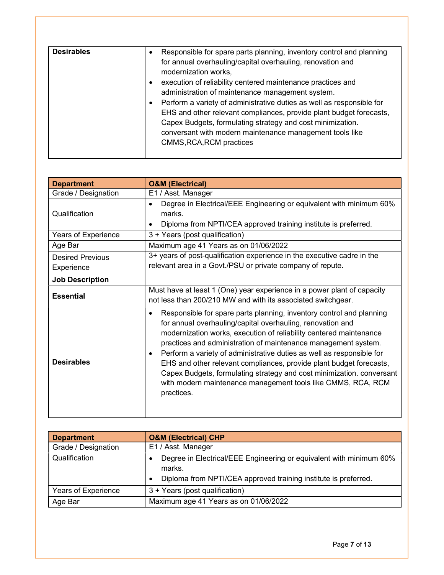| <b>Desirables</b> |                                                                       |
|-------------------|-----------------------------------------------------------------------|
|                   | Responsible for spare parts planning, inventory control and planning  |
|                   | for annual overhauling/capital overhauling, renovation and            |
|                   | modernization works,                                                  |
|                   |                                                                       |
|                   | execution of reliability centered maintenance practices and           |
|                   | administration of maintenance management system.                      |
|                   | Perform a variety of administrative duties as well as responsible for |
|                   | EHS and other relevant compliances, provide plant budget forecasts,   |
|                   | Capex Budgets, formulating strategy and cost minimization.            |
|                   | conversant with modern maintenance management tools like              |
|                   |                                                                       |
|                   | CMMS, RCA, RCM practices                                              |
|                   |                                                                       |

| <b>Department</b>                     | <b>O&amp;M (Electrical)</b>                                                                                                                                                                                                                                                                                                                                                                                                                                                                                                                                                            |  |
|---------------------------------------|----------------------------------------------------------------------------------------------------------------------------------------------------------------------------------------------------------------------------------------------------------------------------------------------------------------------------------------------------------------------------------------------------------------------------------------------------------------------------------------------------------------------------------------------------------------------------------------|--|
| Grade / Designation                   | E1 / Asst. Manager                                                                                                                                                                                                                                                                                                                                                                                                                                                                                                                                                                     |  |
| Qualification                         | Degree in Electrical/EEE Engineering or equivalent with minimum 60%<br>marks.<br>Diploma from NPTI/CEA approved training institute is preferred.                                                                                                                                                                                                                                                                                                                                                                                                                                       |  |
| Years of Experience                   | 3 + Years (post qualification)                                                                                                                                                                                                                                                                                                                                                                                                                                                                                                                                                         |  |
| Age Bar                               | Maximum age 41 Years as on 01/06/2022                                                                                                                                                                                                                                                                                                                                                                                                                                                                                                                                                  |  |
| <b>Desired Previous</b><br>Experience | 3+ years of post-qualification experience in the executive cadre in the<br>relevant area in a Govt./PSU or private company of repute.                                                                                                                                                                                                                                                                                                                                                                                                                                                  |  |
| <b>Job Description</b>                |                                                                                                                                                                                                                                                                                                                                                                                                                                                                                                                                                                                        |  |
| <b>Essential</b>                      | Must have at least 1 (One) year experience in a power plant of capacity<br>not less than 200/210 MW and with its associated switchgear.                                                                                                                                                                                                                                                                                                                                                                                                                                                |  |
| <b>Desirables</b>                     | Responsible for spare parts planning, inventory control and planning<br>for annual overhauling/capital overhauling, renovation and<br>modernization works, execution of reliability centered maintenance<br>practices and administration of maintenance management system.<br>Perform a variety of administrative duties as well as responsible for<br>٠<br>EHS and other relevant compliances, provide plant budget forecasts,<br>Capex Budgets, formulating strategy and cost minimization. conversant<br>with modern maintenance management tools like CMMS, RCA, RCM<br>practices. |  |

| <b>Department</b>   | <b>O&amp;M (Electrical) CHP</b>                                                                                                                  |  |
|---------------------|--------------------------------------------------------------------------------------------------------------------------------------------------|--|
| Grade / Designation | E1 / Asst. Manager                                                                                                                               |  |
| Qualification       | Degree in Electrical/EEE Engineering or equivalent with minimum 60%<br>marks.<br>Diploma from NPTI/CEA approved training institute is preferred. |  |
| Years of Experience | 3 + Years (post qualification)                                                                                                                   |  |
| Age Bar             | Maximum age 41 Years as on 01/06/2022                                                                                                            |  |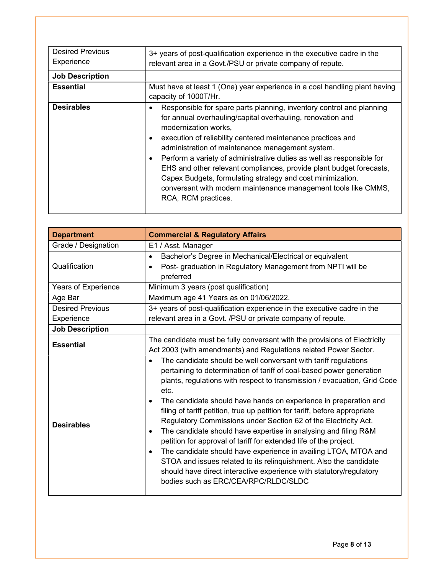| <b>Desired Previous</b><br>Experience | 3+ years of post-qualification experience in the executive cadre in the<br>relevant area in a Govt./PSU or private company of repute.                                                                                                                                                                                                                                                                                                                                                                                                                                                |  |
|---------------------------------------|--------------------------------------------------------------------------------------------------------------------------------------------------------------------------------------------------------------------------------------------------------------------------------------------------------------------------------------------------------------------------------------------------------------------------------------------------------------------------------------------------------------------------------------------------------------------------------------|--|
| <b>Job Description</b>                |                                                                                                                                                                                                                                                                                                                                                                                                                                                                                                                                                                                      |  |
| <b>Essential</b>                      | Must have at least 1 (One) year experience in a coal handling plant having<br>capacity of 1000T/Hr.                                                                                                                                                                                                                                                                                                                                                                                                                                                                                  |  |
| <b>Desirables</b>                     | Responsible for spare parts planning, inventory control and planning<br>for annual overhauling/capital overhauling, renovation and<br>modernization works,<br>execution of reliability centered maintenance practices and<br>administration of maintenance management system.<br>Perform a variety of administrative duties as well as responsible for<br>EHS and other relevant compliances, provide plant budget forecasts,<br>Capex Budgets, formulating strategy and cost minimization.<br>conversant with modern maintenance management tools like CMMS,<br>RCA, RCM practices. |  |

| <b>Department</b>       | <b>Commercial &amp; Regulatory Affairs</b>                                                                                                                                                                                                                                                                                                                                                                                                                                                                                                                                                                                                                                                                                                                                                                                                                                                          |  |
|-------------------------|-----------------------------------------------------------------------------------------------------------------------------------------------------------------------------------------------------------------------------------------------------------------------------------------------------------------------------------------------------------------------------------------------------------------------------------------------------------------------------------------------------------------------------------------------------------------------------------------------------------------------------------------------------------------------------------------------------------------------------------------------------------------------------------------------------------------------------------------------------------------------------------------------------|--|
| Grade / Designation     | E1 / Asst. Manager                                                                                                                                                                                                                                                                                                                                                                                                                                                                                                                                                                                                                                                                                                                                                                                                                                                                                  |  |
| Qualification           | Bachelor's Degree in Mechanical/Electrical or equivalent<br>$\bullet$<br>Post- graduation in Regulatory Management from NPTI will be<br>$\bullet$<br>preferred                                                                                                                                                                                                                                                                                                                                                                                                                                                                                                                                                                                                                                                                                                                                      |  |
| Years of Experience     | Minimum 3 years (post qualification)                                                                                                                                                                                                                                                                                                                                                                                                                                                                                                                                                                                                                                                                                                                                                                                                                                                                |  |
| Age Bar                 | Maximum age 41 Years as on 01/06/2022.                                                                                                                                                                                                                                                                                                                                                                                                                                                                                                                                                                                                                                                                                                                                                                                                                                                              |  |
| <b>Desired Previous</b> | 3+ years of post-qualification experience in the executive cadre in the                                                                                                                                                                                                                                                                                                                                                                                                                                                                                                                                                                                                                                                                                                                                                                                                                             |  |
| Experience              | relevant area in a Govt. /PSU or private company of repute.                                                                                                                                                                                                                                                                                                                                                                                                                                                                                                                                                                                                                                                                                                                                                                                                                                         |  |
| <b>Job Description</b>  |                                                                                                                                                                                                                                                                                                                                                                                                                                                                                                                                                                                                                                                                                                                                                                                                                                                                                                     |  |
| <b>Essential</b>        | The candidate must be fully conversant with the provisions of Electricity<br>Act 2003 (with amendments) and Regulations related Power Sector.                                                                                                                                                                                                                                                                                                                                                                                                                                                                                                                                                                                                                                                                                                                                                       |  |
| <b>Desirables</b>       | The candidate should be well conversant with tariff regulations<br>$\bullet$<br>pertaining to determination of tariff of coal-based power generation<br>plants, regulations with respect to transmission / evacuation, Grid Code<br>etc.<br>The candidate should have hands on experience in preparation and<br>$\bullet$<br>filing of tariff petition, true up petition for tariff, before appropriate<br>Regulatory Commissions under Section 62 of the Electricity Act.<br>The candidate should have expertise in analysing and filing R&M<br>$\bullet$<br>petition for approval of tariff for extended life of the project.<br>The candidate should have experience in availing LTOA, MTOA and<br>$\bullet$<br>STOA and issues related to its relinquishment. Also the candidate<br>should have direct interactive experience with statutory/regulatory<br>bodies such as ERC/CEA/RPC/RLDC/SLDC |  |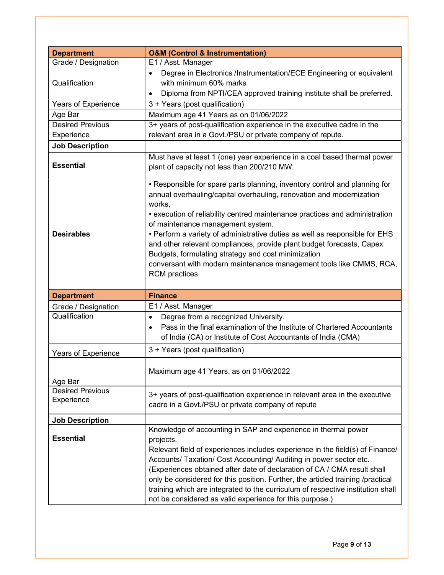| <b>Department</b>                     | <b>O&amp;M (Control &amp; Instrumentation)</b>                                                                                                                                                                                                                                                                                                                                                                                                                                                                                                                                           |  |  |
|---------------------------------------|------------------------------------------------------------------------------------------------------------------------------------------------------------------------------------------------------------------------------------------------------------------------------------------------------------------------------------------------------------------------------------------------------------------------------------------------------------------------------------------------------------------------------------------------------------------------------------------|--|--|
| Grade / Designation                   | E1 / Asst. Manager                                                                                                                                                                                                                                                                                                                                                                                                                                                                                                                                                                       |  |  |
| Qualification                         | Degree in Electronics /Instrumentation/ECE Engineering or equivalent<br>$\bullet$<br>with minimum 60% marks<br>Diploma from NPTI/CEA approved training institute shall be preferred.                                                                                                                                                                                                                                                                                                                                                                                                     |  |  |
| Years of Experience                   | 3 + Years (post qualification)                                                                                                                                                                                                                                                                                                                                                                                                                                                                                                                                                           |  |  |
| Age Bar                               | Maximum age 41 Years as on 01/06/2022                                                                                                                                                                                                                                                                                                                                                                                                                                                                                                                                                    |  |  |
| Desired Previous                      | 3+ years of post-qualification experience in the executive cadre in the                                                                                                                                                                                                                                                                                                                                                                                                                                                                                                                  |  |  |
| Experience                            | relevant area in a Govt./PSU or private company of repute.                                                                                                                                                                                                                                                                                                                                                                                                                                                                                                                               |  |  |
| <b>Job Description</b>                |                                                                                                                                                                                                                                                                                                                                                                                                                                                                                                                                                                                          |  |  |
| <b>Essential</b>                      | Must have at least 1 (one) year experience in a coal based thermal power<br>plant of capacity not less than 200/210 MW.                                                                                                                                                                                                                                                                                                                                                                                                                                                                  |  |  |
| <b>Desirables</b>                     | • Responsible for spare parts planning, inventory control and planning for<br>annual overhauling/capital overhauling, renovation and modernization<br>works,<br>• execution of reliability centred maintenance practices and administration<br>of maintenance management system.<br>. Perform a variety of administrative duties as well as responsible for EHS<br>and other relevant compliances, provide plant budget forecasts, Capex<br>Budgets, formulating strategy and cost minimization<br>conversant with modern maintenance management tools like CMMS, RCA,<br>RCM practices. |  |  |
| <b>Department</b>                     | <b>Finance</b>                                                                                                                                                                                                                                                                                                                                                                                                                                                                                                                                                                           |  |  |
| Grade / Designation                   | E1 / Asst. Manager                                                                                                                                                                                                                                                                                                                                                                                                                                                                                                                                                                       |  |  |
| Qualification                         | Degree from a recognized University.<br>Pass in the final examination of the Institute of Chartered Accountants<br>of India (CA) or Institute of Cost Accountants of India (CMA)                                                                                                                                                                                                                                                                                                                                                                                                         |  |  |
| Years of Experience                   | 3 + Years (post qualification)                                                                                                                                                                                                                                                                                                                                                                                                                                                                                                                                                           |  |  |
| Age Bar                               | Maximum age 41 Years. as on 01/06/2022                                                                                                                                                                                                                                                                                                                                                                                                                                                                                                                                                   |  |  |
| <b>Desired Previous</b><br>Experience | 3+ years of post-qualification experience in relevant area in the executive<br>cadre in a Govt./PSU or private company of repute                                                                                                                                                                                                                                                                                                                                                                                                                                                         |  |  |
| <b>Job Description</b>                |                                                                                                                                                                                                                                                                                                                                                                                                                                                                                                                                                                                          |  |  |
| <b>Essential</b>                      | Knowledge of accounting in SAP and experience in thermal power<br>projects.<br>Relevant field of experiences includes experience in the field(s) of Finance/<br>Accounts/ Taxation/ Cost Accounting/ Auditing in power sector etc.<br>(Experiences obtained after date of declaration of CA / CMA result shall<br>only be considered for this position. Further, the articled training /practical<br>training which are integrated to the curriculum of respective institution shall<br>not be considered as valid experience for this purpose.)                                         |  |  |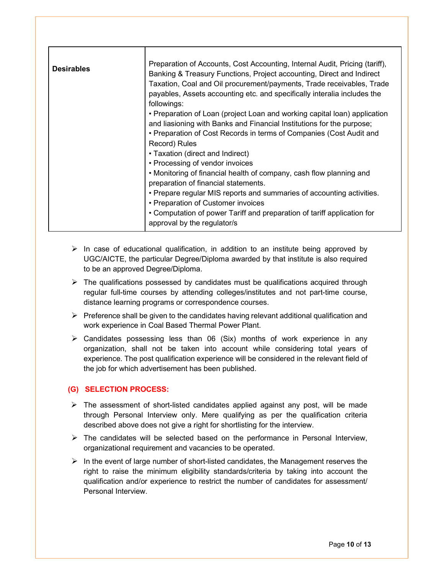| <b>Desirables</b> | Preparation of Accounts, Cost Accounting, Internal Audit, Pricing (tariff),<br>Banking & Treasury Functions, Project accounting, Direct and Indirect |
|-------------------|------------------------------------------------------------------------------------------------------------------------------------------------------|
|                   | Taxation, Coal and Oil procurement/payments, Trade receivables, Trade                                                                                |
|                   | payables, Assets accounting etc. and specifically interalia includes the                                                                             |
|                   | followings:                                                                                                                                          |
|                   | • Preparation of Loan (project Loan and working capital loan) application                                                                            |
|                   | and liasioning with Banks and Financial Institutions for the purpose;                                                                                |
|                   | • Preparation of Cost Records in terms of Companies (Cost Audit and                                                                                  |
|                   | Record) Rules                                                                                                                                        |
|                   | • Taxation (direct and Indirect)                                                                                                                     |
|                   | • Processing of vendor invoices                                                                                                                      |
|                   | . Monitoring of financial health of company, cash flow planning and                                                                                  |
|                   | preparation of financial statements.                                                                                                                 |
|                   | • Prepare regular MIS reports and summaries of accounting activities.                                                                                |
|                   | • Preparation of Customer invoices                                                                                                                   |
|                   | • Computation of power Tariff and preparation of tariff application for<br>approval by the regulator/s                                               |

- $\triangleright$  In case of educational qualification, in addition to an institute being approved by UGC/AICTE, the particular Degree/Diploma awarded by that institute is also required to be an approved Degree/Diploma.
- $\triangleright$  The qualifications possessed by candidates must be qualifications acquired through regular full-time courses by attending colleges/institutes and not part-time course, distance learning programs or correspondence courses.
- $\triangleright$  Preference shall be given to the candidates having relevant additional qualification and work experience in Coal Based Thermal Power Plant.
- $\triangleright$  Candidates possessing less than 06 (Six) months of work experience in any organization, shall not be taken into account while considering total years of experience. The post qualification experience will be considered in the relevant field of the job for which advertisement has been published.

## (G) SELECTION PROCESS:

- $\triangleright$  The assessment of short-listed candidates applied against any post, will be made through Personal Interview only. Mere qualifying as per the qualification criteria described above does not give a right for shortlisting for the interview.
- $\triangleright$  The candidates will be selected based on the performance in Personal Interview, organizational requirement and vacancies to be operated.
- $\triangleright$  In the event of large number of short-listed candidates, the Management reserves the right to raise the minimum eligibility standards/criteria by taking into account the qualification and/or experience to restrict the number of candidates for assessment/ Personal Interview.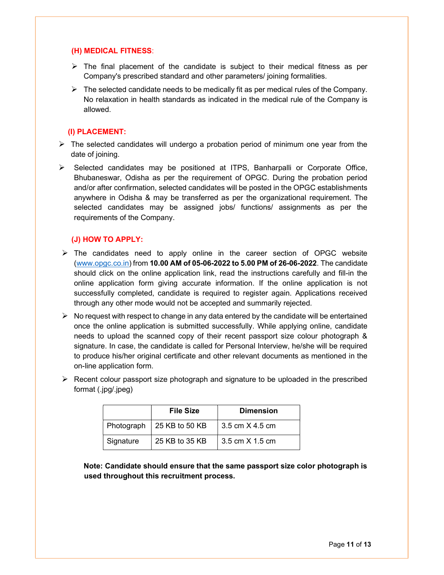### (H) MEDICAL FITNESS:

- $\triangleright$  The final placement of the candidate is subject to their medical fitness as per Company's prescribed standard and other parameters/ joining formalities.
- $\triangleright$  The selected candidate needs to be medically fit as per medical rules of the Company. No relaxation in health standards as indicated in the medical rule of the Company is allowed.

## (I) PLACEMENT:

- $\triangleright$  The selected candidates will undergo a probation period of minimum one year from the date of joining.
- $\triangleright$  Selected candidates may be positioned at ITPS, Banharpalli or Corporate Office, Bhubaneswar, Odisha as per the requirement of OPGC. During the probation period and/or after confirmation, selected candidates will be posted in the OPGC establishments anywhere in Odisha & may be transferred as per the organizational requirement. The selected candidates may be assigned jobs/ functions/ assignments as per the requirements of the Company.

## (J) HOW TO APPLY:

- $\triangleright$  The candidates need to apply online in the career section of OPGC website (www.opgc.co.in) from 10.00 AM of 05-06-2022 to 5.00 PM of 26-06-2022. The candidate should click on the online application link, read the instructions carefully and fill-in the online application form giving accurate information. If the online application is not successfully completed, candidate is required to register again. Applications received through any other mode would not be accepted and summarily rejected.
- $\triangleright$  No request with respect to change in any data entered by the candidate will be entertained once the online application is submitted successfully. While applying online, candidate needs to upload the scanned copy of their recent passport size colour photograph & signature. In case, the candidate is called for Personal Interview, he/she will be required to produce his/her original certificate and other relevant documents as mentioned in the on-line application form.
- $\triangleright$  Recent colour passport size photograph and signature to be uploaded in the prescribed format (.jpg/.jpeg)

|            | <b>File Size</b> | <b>Dimension</b>  |
|------------|------------------|-------------------|
| Photograph | 25 KB to 50 KB   | 3.5 cm X 4.5 cm   |
| Signature  | 25 KB to 35 KB   | 3.5 cm $X$ 1.5 cm |

Note: Candidate should ensure that the same passport size color photograph is used throughout this recruitment process.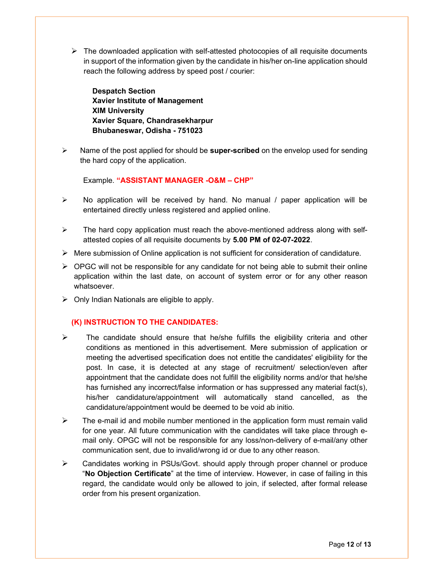$\triangleright$  The downloaded application with self-attested photocopies of all requisite documents in support of the information given by the candidate in his/her on-line application should reach the following address by speed post / courier:

Despatch Section Xavier Institute of Management XIM University Xavier Square, Chandrasekharpur Bhubaneswar, Odisha - 751023

 $\triangleright$  Name of the post applied for should be super-scribed on the envelop used for sending the hard copy of the application.

Example. "ASSISTANT MANAGER -O&M – CHP"

- $\triangleright$  No application will be received by hand. No manual / paper application will be entertained directly unless registered and applied online.
- $\triangleright$  The hard copy application must reach the above-mentioned address along with selfattested copies of all requisite documents by 5.00 PM of 02-07-2022.
- $\triangleright$  Mere submission of Online application is not sufficient for consideration of candidature.
- $\triangleright$  OPGC will not be responsible for any candidate for not being able to submit their online application within the last date, on account of system error or for any other reason whatsoever.
- $\triangleright$  Only Indian Nationals are eligible to apply.

## (K) INSTRUCTION TO THE CANDIDATES:

- $\triangleright$  The candidate should ensure that he/she fulfills the eligibility criteria and other conditions as mentioned in this advertisement. Mere submission of application or meeting the advertised specification does not entitle the candidates' eligibility for the post. In case, it is detected at any stage of recruitment/ selection/even after appointment that the candidate does not fulfill the eligibility norms and/or that he/she has furnished any incorrect/false information or has suppressed any material fact(s), his/her candidature/appointment will automatically stand cancelled, as the candidature/appointment would be deemed to be void ab initio.
- $\triangleright$  The e-mail id and mobile number mentioned in the application form must remain valid for one year. All future communication with the candidates will take place through email only. OPGC will not be responsible for any loss/non-delivery of e-mail/any other communication sent, due to invalid/wrong id or due to any other reason.
- $\triangleright$  Candidates working in PSUs/Govt. should apply through proper channel or produce "No Objection Certificate" at the time of interview. However, in case of failing in this regard, the candidate would only be allowed to join, if selected, after formal release order from his present organization.